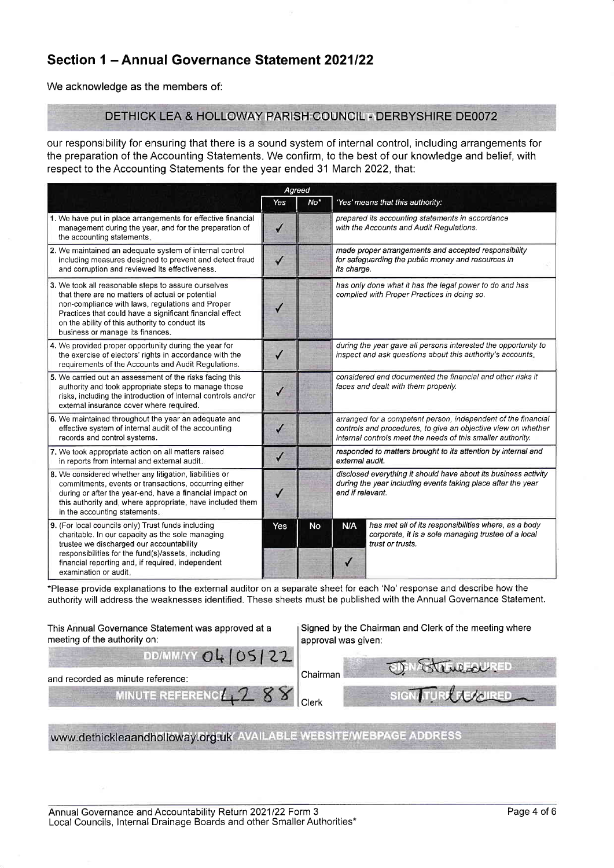## Section 1 - Annual Governance Statement 2021/22

We acknowledge as the members of:

## DETHICK LEA & HOLLOWAY PARISH COUNCIL - DERBYSHIRE DE0072

our responsibility for ensuring that there is a sound system of internal control, including arrangements for the preparation of the Accounting Statements. We confirm, to the best of our knowledge and belief, with respect to the Accounting Statements for the year ended 31 March 2022, that:

|                                                                                                                                                                                                                                                                                                                | Agreed       |                 |                                                                                                                                                                                               |                                                                                                                                 |
|----------------------------------------------------------------------------------------------------------------------------------------------------------------------------------------------------------------------------------------------------------------------------------------------------------------|--------------|-----------------|-----------------------------------------------------------------------------------------------------------------------------------------------------------------------------------------------|---------------------------------------------------------------------------------------------------------------------------------|
|                                                                                                                                                                                                                                                                                                                | Yes          | No <sup>*</sup> |                                                                                                                                                                                               | 'Yes' means that this authority:                                                                                                |
| 1. We have put in place arrangements for effective financial<br>management during the year, and for the preparation of<br>the accounting statements.                                                                                                                                                           | ✓            |                 |                                                                                                                                                                                               | prepared its accounting statements in accordance<br>with the Accounts and Audit Regulations.                                    |
| 2. We maintained an adequate system of internal control<br>including measures designed to prevent and detect fraud<br>and corruption and reviewed its effectiveness.                                                                                                                                           | ✓            |                 | its charge.                                                                                                                                                                                   | made proper arrangements and accepted responsibility<br>for safeguarding the public money and resources in                      |
| 3. We took all reasonable steps to assure ourselves<br>that there are no matters of actual or potential<br>non-compliance with laws, regulations and Proper<br>Practices that could have a significant financial effect<br>on the ability of this authority to conduct its<br>business or manage its finances. |              |                 | has only done what it has the legal power to do and has<br>complied with Proper Practices in doing so.                                                                                        |                                                                                                                                 |
| 4. We provided proper opportunity during the year for<br>the exercise of electors' rights in accordance with the<br>requirements of the Accounts and Audit Regulations.                                                                                                                                        |              |                 |                                                                                                                                                                                               | during the year gave all persons interested the opportunity to<br>inspect and ask questions about this authority's accounts.    |
| 5. We carried out an assessment of the risks facing this<br>authority and took appropriate steps to manage those<br>risks, including the introduction of internal controls and/or<br>external insurance cover where required.                                                                                  |              |                 | considered and documented the financial and other risks it<br>faces and dealt with them properly.                                                                                             |                                                                                                                                 |
| 6. We maintained throughout the year an adequate and<br>effective system of internal audit of the accounting<br>records and control systems.                                                                                                                                                                   | ✓            |                 | arranged for a competent person, independent of the financial<br>controls and procedures, to give an objective view on whether<br>internal controls meet the needs of this smaller authority. |                                                                                                                                 |
| 7. We took appropriate action on all matters raised<br>in reports from internal and external audit.                                                                                                                                                                                                            | $\checkmark$ |                 | responded to matters brought to its attention by internal and<br>external audit.                                                                                                              |                                                                                                                                 |
| 8. We considered whether any litigation, liabilities or<br>commitments, events or transactions, occurring either<br>during or after the year-end, have a financial impact on<br>this authority and, where appropriate, have included them<br>in the accounting statements.                                     |              |                 | disclosed everything it should have about its business activity<br>during the year including events taking place after the year<br>end if relevant.                                           |                                                                                                                                 |
| 9. (For local councils only) Trust funds including<br>charitable. In our capacity as the sole managing<br>trustee we discharged our accountability<br>responsibilities for the fund(s)/assets, including<br>financial reporting and, if required, independent<br>examination or audit.                         | Yes          | <b>No</b>       | N/A                                                                                                                                                                                           | has met all of its responsibilities where, as a body<br>corporate, it is a sole managing trustee of a local<br>trust or trusts. |

\*Please provide explanations to the external auditor on a separate sheet for each 'No' response and describe how the authority wlll address the weaknesses identified. These sheets must be published with the Annual Governance Statement.

| This Annual Governance Statement was approved at a<br>meeting of the authority on: | Signed by the Chairman and Clerk of the meeting where<br>approval was given: |
|------------------------------------------------------------------------------------|------------------------------------------------------------------------------|
| DD/MM/YY 04 05 22                                                                  | Stereover                                                                    |
| and recorded as minute reference:                                                  | Chairman                                                                     |
| MINUTE REFERENCE 2 8                                                               | URL RECOIRED<br><b>SIGNAT</b>                                                |

www.dethickleaandholloway.org.uk/ AVAILABLE WEBSITE/WEBPAGE ADDRESS